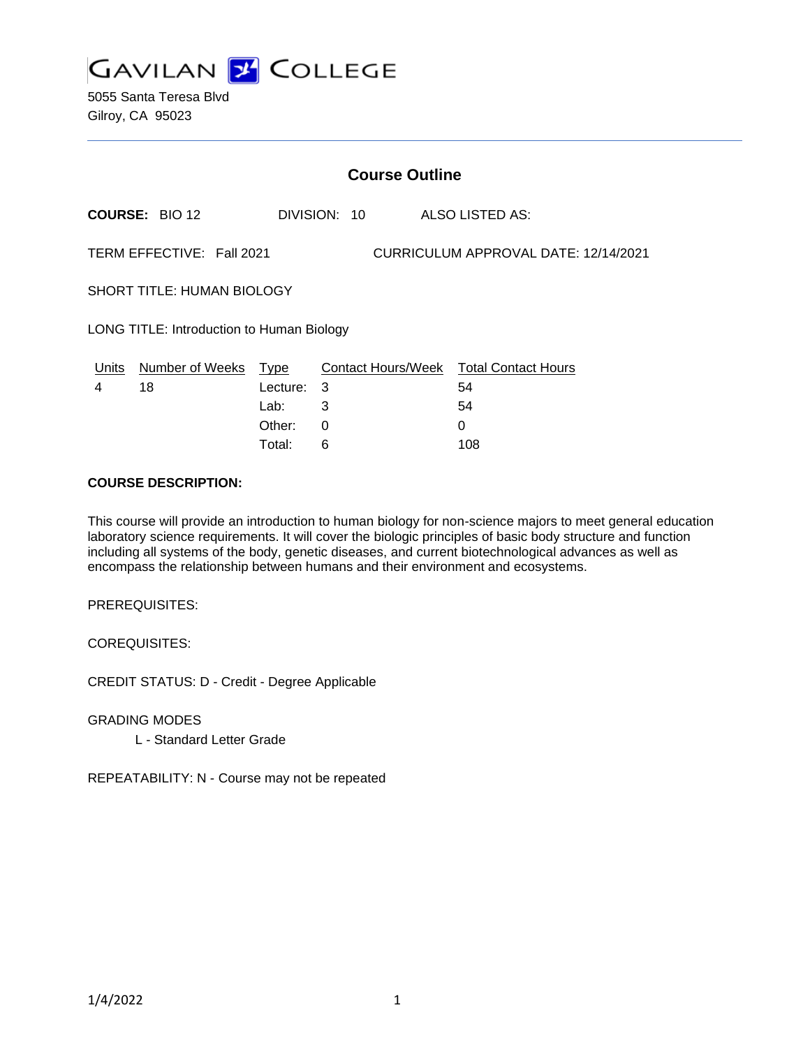

5055 Santa Teresa Blvd Gilroy, CA 95023

|                                           | <b>Course Outline</b>     |                          |              |                                      |                                                    |  |  |
|-------------------------------------------|---------------------------|--------------------------|--------------|--------------------------------------|----------------------------------------------------|--|--|
|                                           | <b>COURSE: BIO 12</b>     |                          | DIVISION: 10 |                                      | ALSO LISTED AS:                                    |  |  |
|                                           | TERM EFFECTIVE: Fall 2021 |                          |              | CURRICULUM APPROVAL DATE: 12/14/2021 |                                                    |  |  |
| <b>SHORT TITLE: HUMAN BIOLOGY</b>         |                           |                          |              |                                      |                                                    |  |  |
| LONG TITLE: Introduction to Human Biology |                           |                          |              |                                      |                                                    |  |  |
| Units<br>4                                | Number of Weeks<br>18     | Type<br>Lecture:<br>Lab: | 3<br>3       |                                      | Contact Hours/Week Total Contact Hours<br>54<br>54 |  |  |
|                                           |                           | Other:                   | 0            |                                      | 0                                                  |  |  |

Total: 6 108

#### **COURSE DESCRIPTION:**

This course will provide an introduction to human biology for non-science majors to meet general education laboratory science requirements. It will cover the biologic principles of basic body structure and function including all systems of the body, genetic diseases, and current biotechnological advances as well as encompass the relationship between humans and their environment and ecosystems.

PREREQUISITES:

COREQUISITES:

CREDIT STATUS: D - Credit - Degree Applicable

GRADING MODES

L - Standard Letter Grade

REPEATABILITY: N - Course may not be repeated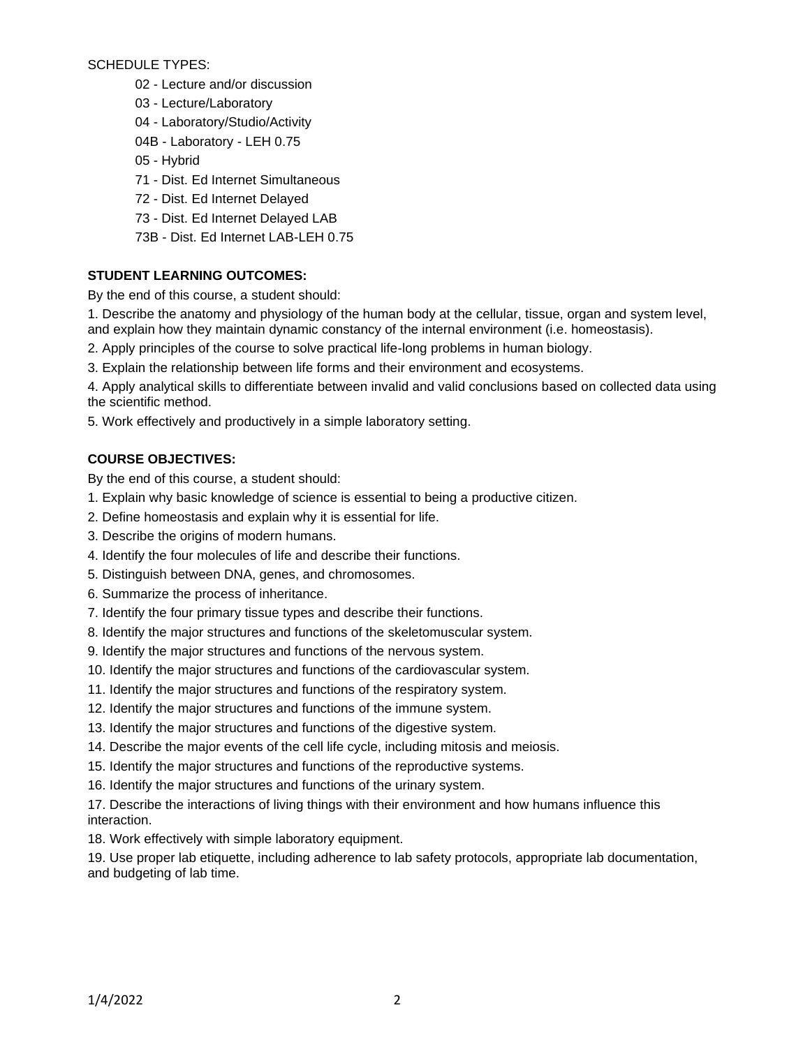SCHEDULE TYPES:

- 02 Lecture and/or discussion
- 03 Lecture/Laboratory
- 04 Laboratory/Studio/Activity
- 04B Laboratory LEH 0.75
- 05 Hybrid
- 71 Dist. Ed Internet Simultaneous
- 72 Dist. Ed Internet Delayed
- 73 Dist. Ed Internet Delayed LAB
- 73B Dist. Ed Internet LAB-LEH 0.75

# **STUDENT LEARNING OUTCOMES:**

By the end of this course, a student should:

- 1. Describe the anatomy and physiology of the human body at the cellular, tissue, organ and system level, and explain how they maintain dynamic constancy of the internal environment (i.e. homeostasis).
- 2. Apply principles of the course to solve practical life-long problems in human biology.
- 3. Explain the relationship between life forms and their environment and ecosystems.
- 4. Apply analytical skills to differentiate between invalid and valid conclusions based on collected data using the scientific method.
- 5. Work effectively and productively in a simple laboratory setting.

# **COURSE OBJECTIVES:**

By the end of this course, a student should:

- 1. Explain why basic knowledge of science is essential to being a productive citizen.
- 2. Define homeostasis and explain why it is essential for life.
- 3. Describe the origins of modern humans.
- 4. Identify the four molecules of life and describe their functions.
- 5. Distinguish between DNA, genes, and chromosomes.
- 6. Summarize the process of inheritance.
- 7. Identify the four primary tissue types and describe their functions.
- 8. Identify the major structures and functions of the skeletomuscular system.
- 9. Identify the major structures and functions of the nervous system.
- 10. Identify the major structures and functions of the cardiovascular system.
- 11. Identify the major structures and functions of the respiratory system.
- 12. Identify the major structures and functions of the immune system.
- 13. Identify the major structures and functions of the digestive system.
- 14. Describe the major events of the cell life cycle, including mitosis and meiosis.
- 15. Identify the major structures and functions of the reproductive systems.
- 16. Identify the major structures and functions of the urinary system.

17. Describe the interactions of living things with their environment and how humans influence this interaction.

18. Work effectively with simple laboratory equipment.

19. Use proper lab etiquette, including adherence to lab safety protocols, appropriate lab documentation, and budgeting of lab time.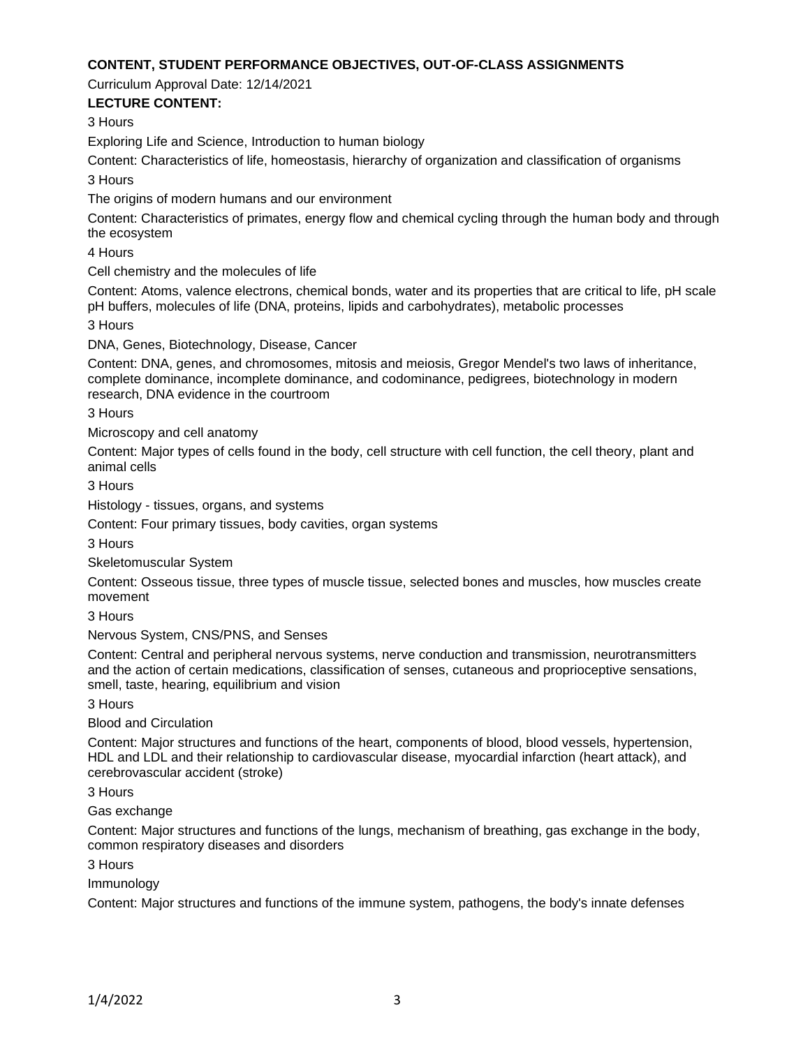### **CONTENT, STUDENT PERFORMANCE OBJECTIVES, OUT-OF-CLASS ASSIGNMENTS**

Curriculum Approval Date: 12/14/2021

### **LECTURE CONTENT:**

3 Hours

Exploring Life and Science, Introduction to human biology

Content: Characteristics of life, homeostasis, hierarchy of organization and classification of organisms

3 Hours

The origins of modern humans and our environment

Content: Characteristics of primates, energy flow and chemical cycling through the human body and through the ecosystem

4 Hours

Cell chemistry and the molecules of life

Content: Atoms, valence electrons, chemical bonds, water and its properties that are critical to life, pH scale pH buffers, molecules of life (DNA, proteins, lipids and carbohydrates), metabolic processes

3 Hours

DNA, Genes, Biotechnology, Disease, Cancer

Content: DNA, genes, and chromosomes, mitosis and meiosis, Gregor Mendel's two laws of inheritance, complete dominance, incomplete dominance, and codominance, pedigrees, biotechnology in modern research, DNA evidence in the courtroom

3 Hours

Microscopy and cell anatomy

Content: Major types of cells found in the body, cell structure with cell function, the cell theory, plant and animal cells

3 Hours

Histology - tissues, organs, and systems

Content: Four primary tissues, body cavities, organ systems

3 Hours

Skeletomuscular System

Content: Osseous tissue, three types of muscle tissue, selected bones and muscles, how muscles create movement

3 Hours

Nervous System, CNS/PNS, and Senses

Content: Central and peripheral nervous systems, nerve conduction and transmission, neurotransmitters and the action of certain medications, classification of senses, cutaneous and proprioceptive sensations, smell, taste, hearing, equilibrium and vision

3 Hours

Blood and Circulation

Content: Major structures and functions of the heart, components of blood, blood vessels, hypertension, HDL and LDL and their relationship to cardiovascular disease, myocardial infarction (heart attack), and cerebrovascular accident (stroke)

3 Hours

Gas exchange

Content: Major structures and functions of the lungs, mechanism of breathing, gas exchange in the body, common respiratory diseases and disorders

3 Hours

Immunology

Content: Major structures and functions of the immune system, pathogens, the body's innate defenses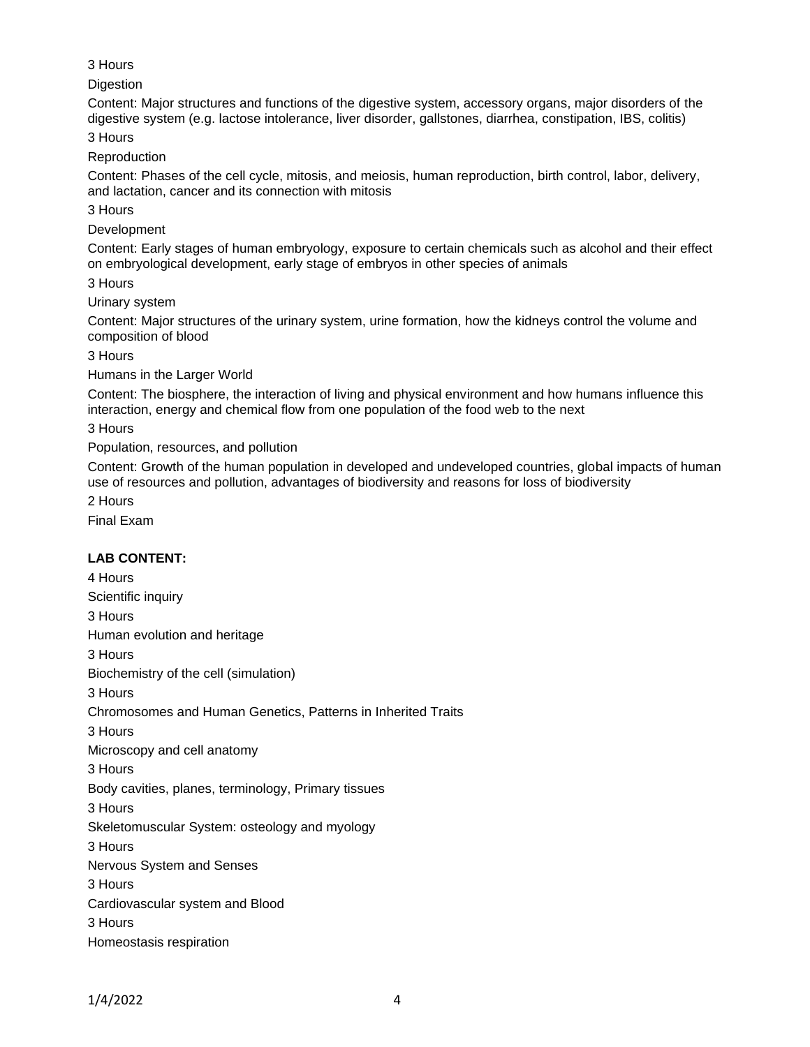# 3 Hours

**Digestion** 

Content: Major structures and functions of the digestive system, accessory organs, major disorders of the digestive system (e.g. lactose intolerance, liver disorder, gallstones, diarrhea, constipation, IBS, colitis)

3 Hours

Reproduction

Content: Phases of the cell cycle, mitosis, and meiosis, human reproduction, birth control, labor, delivery, and lactation, cancer and its connection with mitosis

3 Hours

Development

Content: Early stages of human embryology, exposure to certain chemicals such as alcohol and their effect on embryological development, early stage of embryos in other species of animals

3 Hours

Urinary system

Content: Major structures of the urinary system, urine formation, how the kidneys control the volume and composition of blood

3 Hours

Humans in the Larger World

Content: The biosphere, the interaction of living and physical environment and how humans influence this interaction, energy and chemical flow from one population of the food web to the next

3 Hours

Population, resources, and pollution

Content: Growth of the human population in developed and undeveloped countries, global impacts of human use of resources and pollution, advantages of biodiversity and reasons for loss of biodiversity

2 Hours

Final Exam

# **LAB CONTENT:**

4 Hours Scientific inquiry 3 Hours Human evolution and heritage 3 Hours Biochemistry of the cell (simulation) 3 Hours Chromosomes and Human Genetics, Patterns in Inherited Traits 3 Hours Microscopy and cell anatomy 3 Hours Body cavities, planes, terminology, Primary tissues 3 Hours Skeletomuscular System: osteology and myology 3 Hours Nervous System and Senses 3 Hours Cardiovascular system and Blood 3 Hours Homeostasis respiration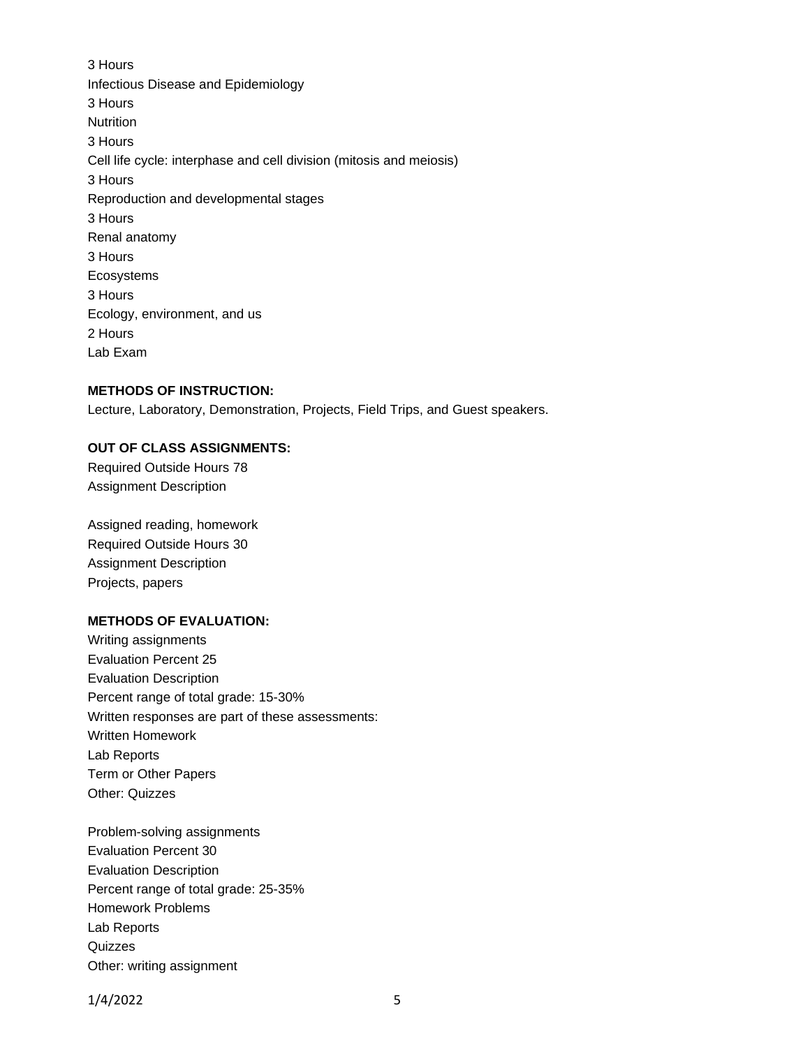3 Hours Infectious Disease and Epidemiology 3 Hours **Nutrition** 3 Hours Cell life cycle: interphase and cell division (mitosis and meiosis) 3 Hours Reproduction and developmental stages 3 Hours Renal anatomy 3 Hours Ecosystems 3 Hours Ecology, environment, and us 2 Hours Lab Exam

#### **METHODS OF INSTRUCTION:**

Lecture, Laboratory, Demonstration, Projects, Field Trips, and Guest speakers.

### **OUT OF CLASS ASSIGNMENTS:**

Required Outside Hours 78 Assignment Description

Assigned reading, homework Required Outside Hours 30 Assignment Description Projects, papers

#### **METHODS OF EVALUATION:**

Writing assignments Evaluation Percent 25 Evaluation Description Percent range of total grade: 15-30% Written responses are part of these assessments: Written Homework Lab Reports Term or Other Papers Other: Quizzes

Problem-solving assignments Evaluation Percent 30 Evaluation Description Percent range of total grade: 25-35% Homework Problems Lab Reports Quizzes Other: writing assignment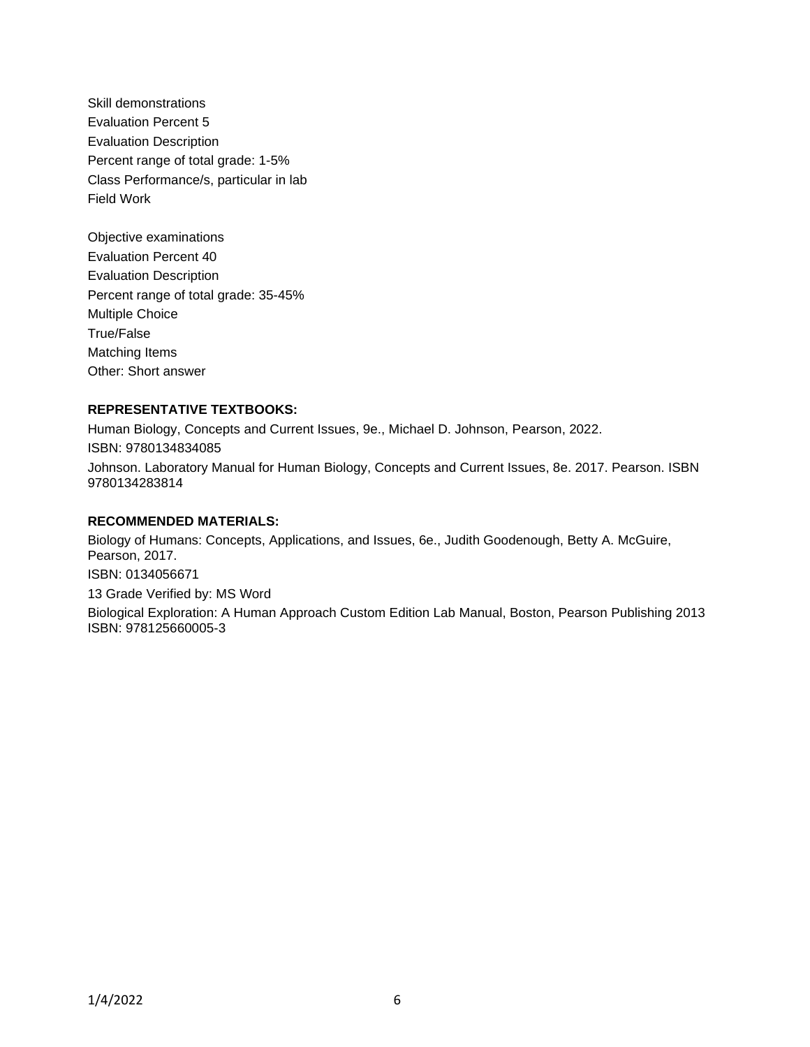- Skill demonstrations Evaluation Percent 5 Evaluation Description Percent range of total grade: 1-5% Class Performance/s, particular in lab Field Work
- Objective examinations Evaluation Percent 40 Evaluation Description Percent range of total grade: 35-45% Multiple Choice True/False Matching Items Other: Short answer

# **REPRESENTATIVE TEXTBOOKS:**

Human Biology, Concepts and Current Issues, 9e., Michael D. Johnson, Pearson, 2022. ISBN: 9780134834085 Johnson. Laboratory Manual for Human Biology, Concepts and Current Issues, 8e. 2017. Pearson. ISBN 9780134283814

### **RECOMMENDED MATERIALS:**

Biology of Humans: Concepts, Applications, and Issues, 6e., Judith Goodenough, Betty A. McGuire, Pearson, 2017. ISBN: 0134056671 13 Grade Verified by: MS Word Biological Exploration: A Human Approach Custom Edition Lab Manual, Boston, Pearson Publishing 2013 ISBN: 978125660005-3